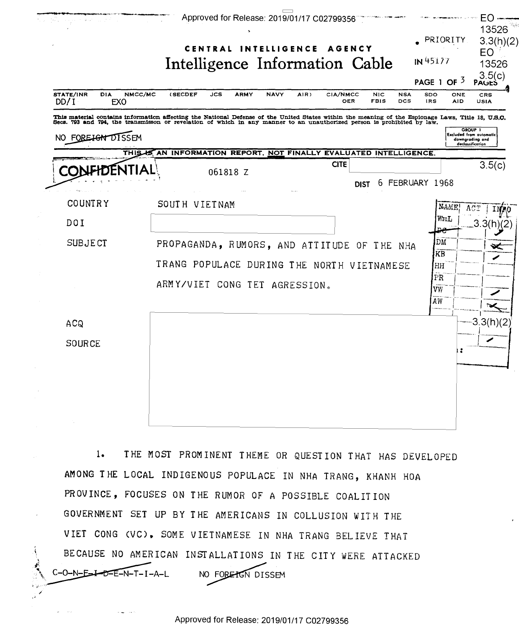

THE MOST PROMINENT THEME OR QUESTION THAT HAS DEVELOPED  $1.$ AMONG THE LOCAL INDIGENOUS POPULACE IN NHA TRANG, KHANH HOA PROVINCE, FOCUSES ON THE RUMOR OF A POSSIBLE COALITION GOVERNMENT SET UP BY THE AMERICANS IN COLLUSION WITH THE VIET CONG (VC), SOME VIETNAMESE IN NHA TRANG BELIEVE THAT BECAUSE NO AMERICAN INSTALLATIONS IN THE CITY WERE ATTACKED C-O-N-E-I-D-E-N-T-I-A-L NO FORETON DISSEM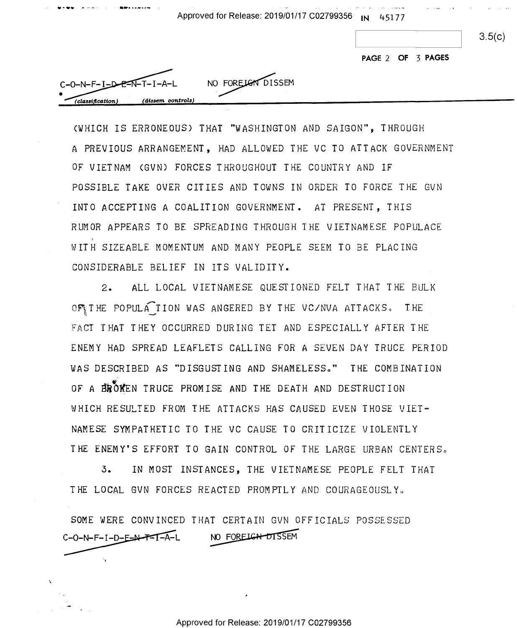Approved for Release: 2019/01/17 C02799356 **IN** 4 517 7 Approved for Release: 2019/01/17 0027-99356 .N' 45177

 $3.5(c)$ 

**PAGE 2 OF '3 PAGES**  PAGE 2 OF '3 PAGES

| $C-O-N-F-I-D-E-N-T-I-A-L$             | NO FORELON DISSEM |
|---------------------------------------|-------------------|
|                                       |                   |
| (dissem controls)<br>(classification) |                   |

...... ... , . .- ·•···-·,,.-

"fi. III-c4... -

 $\cdot$   $\cdot$   $\cdot$   $\cdot$ 

0-.' n-

·,

'1

CWHICH IS ERRONEOUS) THAT "WASHINGTON AND SAIGON", THROUGH (VHICH IS ERRONEOUS) THAT "VASHINGTON AND SAIGON", THROUGH A PREVIOUS ARRANGEMENT, HAD ALLOWED THE VC TO ATTACK GOVERNMENT OF VIET NAM CGV N) FORCES THROUGHOUT THE COUNTRY AND IF OF VIETNAM (GUN) FORCES THROUGHOUT THE COUNTRY AND IF POSSIBLE TAKE OVER CITIES AND TOWNS IN ORDER TO FORCE THE GVN POSSIBLE TAKE OVER CITIES AND TOVNS IN ORDER TO FORCE THE GVN INTO ACCEPTING A COALITION GOVERNMENT. AT PRESENT, THIS INTO ACCEPTING A COALITION GOVERNMENT. AT PRESENT, THIS RUMOR APPEARS TO BE SPREADING THROUGH THE VIETNAMESE POPULACE RUMOR APPEARS TO BE SPREADING THROUGH THE VIETNAMESE POPULACE WITH SIZEABLE MOMENTUM AND MANY PEOPLE SEEM TO BE PLACING UITH SIZEADLE MOMENTUM AND MANY PEOPLE SEEM TO BE PLACING CONSIDERABLE BELIEF IN ITS VALIDITY. CONSIDERADLE BELIEF IN ITS VALIDITY.

2. ALL LOCAL VIETNAMESE QUESTIONED FELT THAT THE BULK 2. ALL LOCAL VIETNAMESE GUESTIONED FELT THAT THE HULK Z. ALL LOCAL VILINAMESE QUESITONED FELI IAAT TAE BULA<br>OF\THE POPULA\_TION WAS ANGERED BY THE VC/NVA ATTACKS. THE FACT THAT THEY OCCURRED DURING TEI AND ESPECIALLY AFTER THE FACT THAT THEY OCCURRED DURING TET AND ESPECIALLY AFTER THE ENEMY HAD SPREAD LEAFLETS CALLING FOR A SEVEN DAY TRUCE PERIOD ENEMY HAD SPREAD LEAFLETS CALLING FOR A SEVEN DAY TRUCE PERIOD WAS DESCRIBED AS "DISGUSTING AND SHAMELESS." THE COMBINATION OF A BROKEN TRUCE PROMISE AND THE DEATH AND DESTRUCTION WHICH RESULTED FROM THE ATlACKS HAS CAUSED EVEN THOSE VIET-NHICH RESULTED FROM THE ATTACKS HAS CAUSED EVEN THOSE VIET» NAMESE SYMPATHETIC TO THE VC CAUSE TO CRITICIZE VIOLENTLY NAMESE SYMPATHETIC TO THE VC CAUSE TO CRITICIZE VIOLENTLY THE ENEMY'S EFFORT TO GAIN CONTROL OF THE LARGE URBAN CENTERS.

3. IN MOST INSTANCES, THE VIETNAMESE PEOPLE FELT THAT 5. IN MOST INSTANCES, THE VIETNAMESE PEOPLE FELT THAT THE LOCAL GVN FORCES REACTED PROMPTLY AND COURAGEOUSLY.

SOME WERE CONVINCED THAT CERTAIN GVN OFFICIALS POSSESSED SOME WERE CONVINCED THAT CERTAIN GVN OFFICIALS POSSESSED ACTED PROMPTLY AND COURAGEOUSE<br>T CERTAIN GVN OFFICIALS POSSE:<br>NO FOREIGH-DISSEM C-O-N-F-I-D-E-N-T-I-A-L NO FOREIGN-DISSEM

Approved for Release: 2019/01/17 C02799356 Approved for Release: 2019/01/17 C02799356